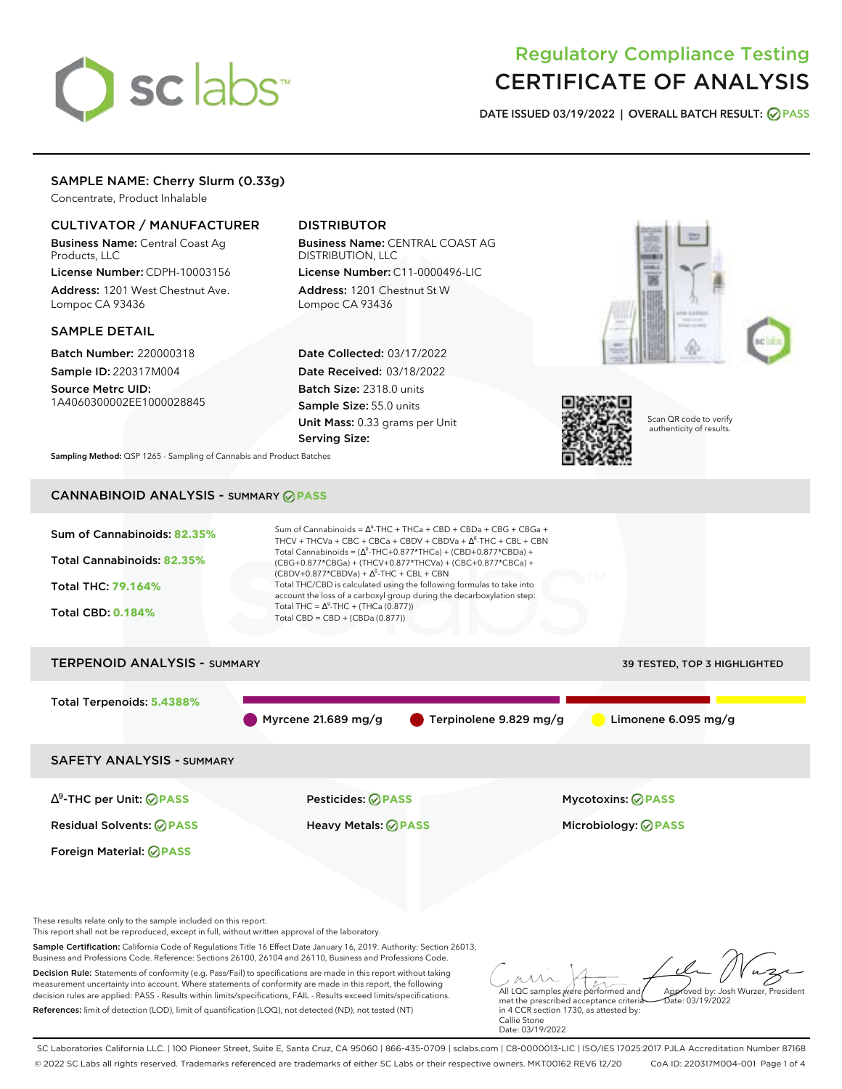# sclabs<sup>\*</sup>

# Regulatory Compliance Testing CERTIFICATE OF ANALYSIS

**DATE ISSUED 03/19/2022 | OVERALL BATCH RESULT: PASS**

# SAMPLE NAME: Cherry Slurm (0.33g)

Concentrate, Product Inhalable

# CULTIVATOR / MANUFACTURER

Business Name: Central Coast Ag Products, LLC

License Number: CDPH-10003156 Address: 1201 West Chestnut Ave. Lompoc CA 93436

# SAMPLE DETAIL

Batch Number: 220000318 Sample ID: 220317M004

Source Metrc UID: 1A4060300002EE1000028845

# DISTRIBUTOR

Business Name: CENTRAL COAST AG DISTRIBUTION, LLC License Number: C11-0000496-LIC

Address: 1201 Chestnut St W Lompoc CA 93436

Date Collected: 03/17/2022 Date Received: 03/18/2022 Batch Size: 2318.0 units Sample Size: 55.0 units Unit Mass: 0.33 grams per Unit Serving Size:





Scan QR code to verify authenticity of results.

**Sampling Method:** QSP 1265 - Sampling of Cannabis and Product Batches

# CANNABINOID ANALYSIS - SUMMARY **PASS**



References: limit of detection (LOD), limit of quantification (LOQ), not detected (ND), not tested (NT)

met the prescribed acceptance criteria in 4 CCR section 1730, as attested by: Callie Stone Date: 03/19/2022  $hat: 03/19/2022$ 

SC Laboratories California LLC. | 100 Pioneer Street, Suite E, Santa Cruz, CA 95060 | 866-435-0709 | sclabs.com | C8-0000013-LIC | ISO/IES 17025:2017 PJLA Accreditation Number 87168 © 2022 SC Labs all rights reserved. Trademarks referenced are trademarks of either SC Labs or their respective owners. MKT00162 REV6 12/20 CoA ID: 220317M004-001 Page 1 of 4